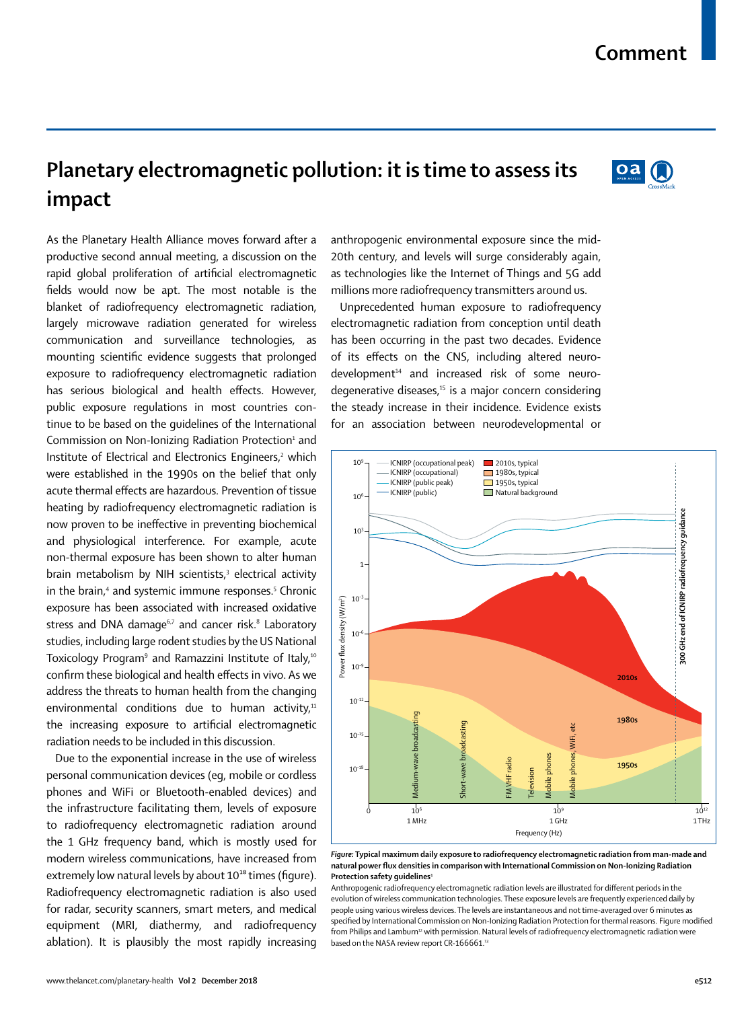## **Comment**

## **Planetary electromagnetic pollution: it is time to assess its impact**

As the Planetary Health Alliance moves forward after a productive second annual meeting, a discussion on the rapid global proliferation of artificial electromagnetic fields would now be apt. The most notable is the blanket of radiofrequency electromagnetic radiation, largely microwave radiation generated for wireless communication and surveillance technologies, as mounting scientific evidence suggests that prolonged exposure to radiofrequency electromagnetic radiation has serious biological and health effects. However, public exposure regulations in most countries continue to be based on the guidelines of the International Commission on Non-Ionizing Radiation Protection<sup>1</sup> and Institute of Electrical and Electronics Engineers,<sup>2</sup> which were established in the 1990s on the belief that only acute thermal effects are hazardous. Prevention of tissue heating by radiofrequency electromagnetic radiation is now proven to be ineffective in preventing biochemical and physiological interference. For example, acute non-thermal exposure has been shown to alter human brain metabolism by NIH scientists,<sup>3</sup> electrical activity in the brain,<sup>4</sup> and systemic immune responses.<sup>5</sup> Chronic exposure has been associated with increased oxidative stress and DNA damage $67$  and cancer risk. $8$  Laboratory studies, including large rodent studies by the US National Toxicology Program<sup>9</sup> and Ramazzini Institute of Italy,<sup>10</sup> confirm these biological and health effects in vivo. As we address the threats to human health from the changing environmental conditions due to human activity, $11$ the increasing exposure to artificial electromagnetic radiation needs to be included in this discussion.

Due to the exponential increase in the use of wireless personal communication devices (eg, mobile or cordless phones and WiFi or Bluetooth-enabled devices) and the infrastructure facilitating them, levels of exposure to radiofrequency electromagnetic radiation around the 1 GHz frequency band, which is mostly used for modern wireless communications, have increased from extremely low natural levels by about  $10^{18}$  times (figure). Radiofrequency electromagnetic radiation is also used for radar, security scanners, smart meters, and medical equipment (MRI, diathermy, and radiofrequency ablation). It is plausibly the most rapidly increasing anthropogenic environmental exposure since the mid-20th century, and levels will surge considerably again, as technologies like the Internet of Things and 5G add millions more radiofrequency transmitters around us.

Unprecedented human exposure to radiofrequency electromagnetic radiation from conception until death has been occurring in the past two decades. Evidence of its effects on the CNS, including altered neurodevelopment<sup>14</sup> and increased risk of some neurodegenerative diseases,<sup>15</sup> is a major concern considering the steady increase in their incidence. Evidence exists for an association between neurodevelopmental or

 $10^9$   $-$  ICNIRP (occupational peak)



2010s, typical

*Figure:* **Typical maximum daily exposure to radiofrequency electromagnetic radiation from man-made and natural power flux densities in comparison with International Commission on Non-Ionizing Radiation Protection safety quidelines<sup>1</sup>** 

Anthropogenic radiofrequency electromagnetic radiation levels are illustrated for different periods in the evolution of wireless communication technologies. These exposure levels are frequently experienced daily by people using various wireless devices. The levels are instantaneous and not time-averaged over 6 minutes as specified by International Commission on Non-Ionizing Radiation Protection for thermal reasons. Figure modified from Philips and Lamburn<sup>12</sup> with permission. Natural levels of radiofrequency electromagnetic radiation were based on the NASA review report CR-166661.<sup>13</sup>

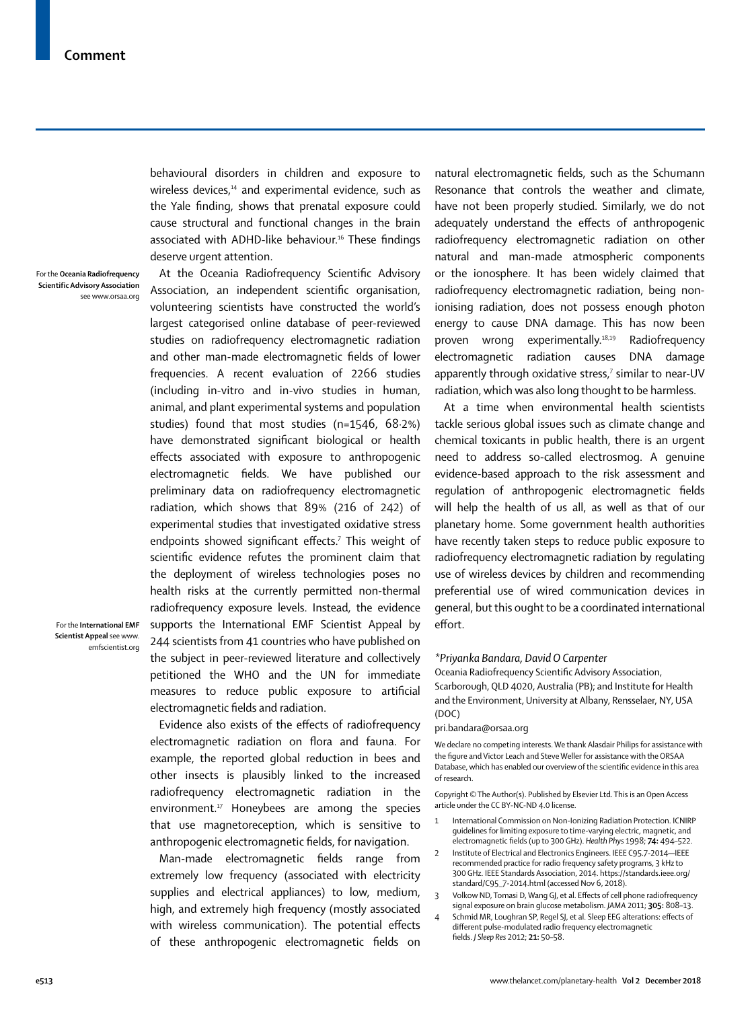For the **Oceania Radiofrequency Scientific Advisory Association**  see www.orsaa.org behavioural disorders in children and exposure to wireless devices,<sup>14</sup> and experimental evidence, such as the Yale finding, shows that prenatal exposure could cause structural and functional changes in the brain associated with ADHD-like behaviour.<sup>16</sup> These findings deserve urgent attention.

At the [Oceania Radiofrequency Scientific Advisory](www.orsaa.org) [Association](www.orsaa.org), an independent scientific organisation, volunteering scientists have constructed the world's largest categorised online database of peer-reviewed studies on radiofrequency electromagnetic radiation and other man-made electromagnetic fields of lower frequencies. A recent evaluation of 2266 studies (including in-vitro and in-vivo studies in human, animal, and plant experimental systems and population studies) found that most studies (n=1546, 68∙2%) have demonstrated significant biological or health effects associated with exposure to anthropogenic electromagnetic fields. We have published our preliminary data on radiofrequency electromagnetic radiation, which shows that 89% (216 of 242) of experimental studies that investigated oxidative stress endpoints showed significant effects.<sup>7</sup> This weight of scientific evidence refutes the prominent claim that the deployment of wireless technologies poses no health risks at the currently permitted non-thermal radiofrequency exposure levels. Instead, the evidence supports the [International EMF Scientist Appeal](www.emfscientist.org) by 244 scientists from 41 countries who have published on the subject in peer-reviewed literature and collectively petitioned the WHO and the UN for immediate measures to reduce public exposure to artificial electromagnetic fields and radiation.

For the **International EMF Scientist Appeal** see www. emfscientist.org

> Evidence also exists of the effects of radiofrequency electromagnetic radiation on flora and fauna. For example, the reported global reduction in bees and other insects is plausibly linked to the increased radiofrequency electromagnetic radiation in the environment. $17$  Honeybees are among the species that use magnetoreception, which is sensitive to anthropogenic electromagnetic fields, for navigation.

Man-made electromagnetic fields range from extremely low frequency (associated with electricity supplies and electrical appliances) to low, medium, high, and extremely high frequency (mostly associated with wireless communication). The potential effects of these anthropogenic electromagnetic fields on

natural electromagnetic fields, such as the Schumann Resonance that controls the weather and climate, have not been properly studied. Similarly, we do not adequately understand the effects of anthropogenic radiofrequency electromagnetic radiation on other natural and man-made atmospheric components or the ionosphere. It has been widely claimed that radiofrequency electromagnetic radiation, being nonionising radiation, does not possess enough photon energy to cause DNA damage. This has now been proven wrong experimentally.18,19 Radiofrequency electromagnetic radiation causes DNA damage apparently through oxidative stress,<sup>7</sup> similar to near-UV radiation, which was also long thought to be harmless.

At a time when environmental health scientists tackle serious global issues such as climate change and chemical toxicants in public health, there is an urgent need to address so-called electrosmog. A genuine evidence-based approach to the risk assessment and regulation of anthropogenic electromagnetic fields will help the health of us all, as well as that of our planetary home. Some government health authorities have recently taken steps to reduce public exposure to radiofrequency electromagnetic radiation by regulating use of wireless devices by children and recommending preferential use of wired communication devices in general, but this ought to be a coordinated international effort.

## *\*Priyanka Bandara, David O Carpenter*

Oceania Radiofrequency Scientific Advisory Association, Scarborough, QLD 4020, Australia (PB); and Institute for Health and the Environment, University at Albany, Rensselaer, NY, USA (DOC)

## pri.bandara@orsaa.org

We declare no competing interests. We thank Alasdair Philips for assistance with the figure and Victor Leach and Steve Weller for assistance with the ORSAA Database, which has enabled our overview of the scientific evidence in this area of research.

Copyright © The Author(s). Published by Elsevier Ltd. This is an Open Access article under the CC BY-NC-ND 4.0 license.

- 1 International Commission on Non-Ionizing Radiation Protection. ICNIRP guidelines for limiting exposure to time-varying electric, magnetic, and electromagnetic fields (up to 300 GHz). *Health Phys* 1998; **74:** 494–522.
- 2 Institute of Electrical and Electronics Engineers. IEEE C95.7-2014—IEEE recommended practice for radio frequency safety programs, 3 kHz to 300 GHz. IEEE Standards Association, 2014. https://standards.ieee.org/ standard/C95\_7-2014.html (accessed Nov 6, 2018).
- 3 Volkow ND, Tomasi D, Wang GJ, et al. Effects of cell phone radiofrequency signal exposure on brain glucose metabolism. *JAMA* 2011; **305:** 808–13.
- 4 Schmid MR, Loughran SP, Regel SJ, et al. Sleep EEG alterations: effects of different pulse-modulated radio frequency electromagnetic fields. *J Sleep Res* 2012; **21:** 50–58.